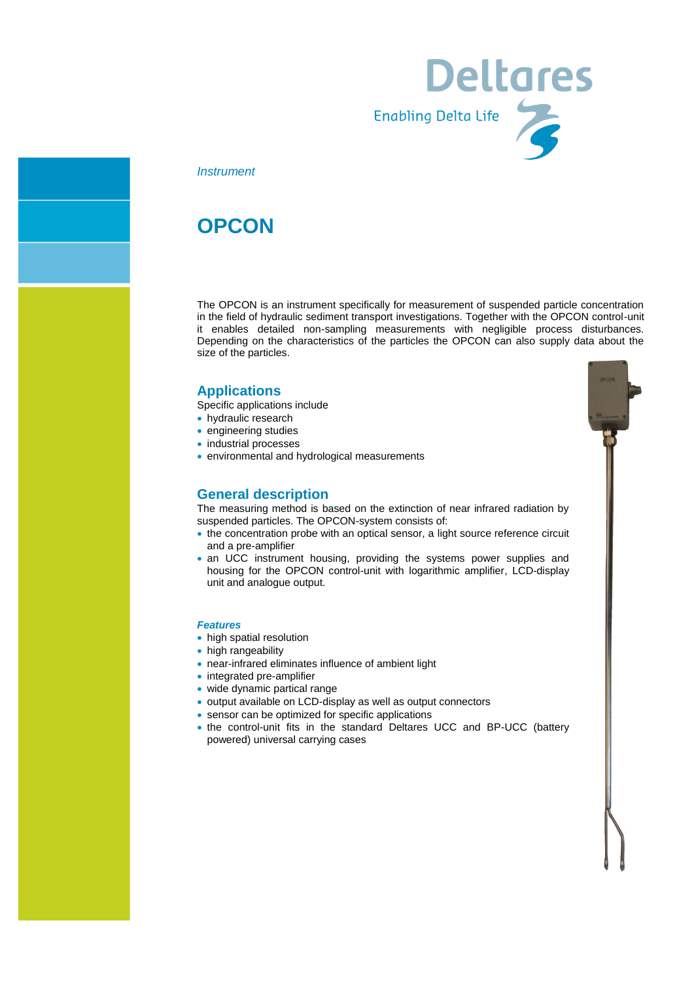

### *Instrument*

# **OPCON**

The OPCON is an instrument specifically for measurement of suspended particle concentration in the field of hydraulic sediment transport investigations. Together with the OPCON control-unit it enables detailed non-sampling measurements with negligible process disturbances. Depending on the characteristics of the particles the OPCON can also supply data about the size of the particles.

# **Applications**

- Specific applications include
- hydraulic research
- **•** engineering studies
- industrial processes
- environmental and hydrological measurements

# **General description**

The measuring method is based on the extinction of near infrared radiation by suspended particles. The OPCON-system consists of:

- the concentration probe with an optical sensor, a light source reference circuit and a pre-amplifier
- an UCC instrument housing, providing the systems power supplies and housing for the OPCON control-unit with logarithmic amplifier, LCD-display unit and analogue output.

#### *Features*

- high spatial resolution
- high rangeability
- near-infrared eliminates influence of ambient light
- integrated pre-amplifier
- wide dynamic partical range
- output available on LCD-display as well as output connectors
- sensor can be optimized for specific applications
- the control-unit fits in the standard Deltares UCC and BP-UCC (battery powered) universal carrying cases